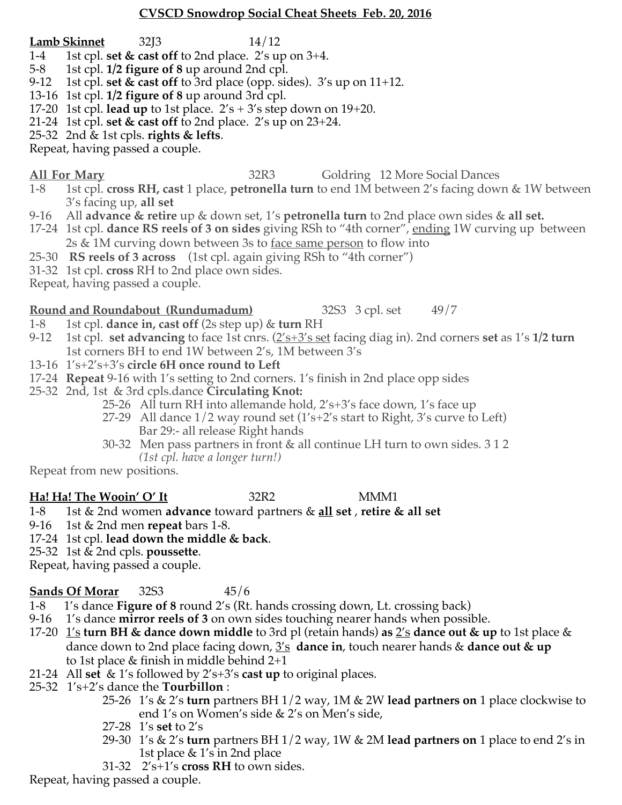### **CVSCD Snowdrop Social Cheat Sheets Feb. 20, 2016**

- **Lamb Skinnet** 32J3 14/12
- 1-4 1st cpl. **set & cast off** to 2nd place. 2's up on 3+4.
- 5-8 1st cpl. **1/2 figure of 8** up around 2nd cpl.
- 9-12 1st cpl. **set & cast off** to 3rd place (opp. sides). 3's up on 11+12.
- 13-16 1st cpl. **1/2 figure of 8** up around 3rd cpl.
- 17-20 1st cpl. **lead up** to 1st place. 2's + 3's step down on 19+20.
- 21-24 1st cpl. **set & cast off** to 2nd place. 2's up on 23+24.
- 25-32 2nd & 1st cpls. **rights & lefts**.
- Repeat, having passed a couple.
- 

### **All For Mary** 32R3 Goldring 12 More Social Dances

- 1-8 1st cpl. **cross RH, cast** 1 place, **petronella turn** to end 1M between 2's facing down & 1W between 3's facing up, **all set**
- 9-16 All **advance & retire** up & down set, 1's **petronella turn** to 2nd place own sides & **all set.**
- 17-24 1st cpl. **dance RS reels of 3 on sides** giving RSh to "4th corner", ending 1W curving up between 2s & 1M curving down between 3s to <u>face same person</u> to flow into
- 25-30 **RS reels of 3 across** (1st cpl. again giving RSh to "4th corner")
- 31-32 1st cpl. **cross** RH to 2nd place own sides.
- Repeat, having passed a couple.

## **Round and Roundabout (Rundumadum)** 32S3 3 cpl. set 49/7

- 1-8 1st cpl. **dance in, cast off** (2s step up) & **turn** RH
- 9-12 1st cpl. **set advancing** to face 1st cnrs. (2's+3's set facing diag in). 2nd corners **set** as 1's **1/2 turn**  1st corners BH to end 1W between 2's, 1M between 3's
- 13-16 1's+2's+3's **circle 6H once round to Left**
- 17-24 **Repeat** 9-16 with 1's setting to 2nd corners. 1's finish in 2nd place opp sides
- 25-32 2nd, 1st & 3rd cpls.dance **Circulating Knot:**
	- 25-26 All turn RH into allemande hold, 2's+3's face down, 1's face up
	- 27-29 All dance 1/2 way round set (1's+2's start to Right, 3's curve to Left) Bar 29:- all release Right hands
	- 30-32 Men pass partners in front & all continue LH turn to own sides. 3 1 2 *(1st cpl. have a longer turn!)*

Repeat from new positions.

### **Ha! Ha! The Wooin' O' It** 32R2 MMM1

- 1-8 1st & 2nd women **advance** toward partners & **all set** , **retire & all set**
- 9-16 1st & 2nd men **repeat** bars 1-8.
- 17-24 1st cpl. **lead down the middle & back**.
- 25-32 1st & 2nd cpls. **poussette**.
- Repeat, having passed a couple.

## **Sands Of Morar** 32S3  45/6

- 1-8 1's dance **Figure of 8** round 2's (Rt. hands crossing down, Lt. crossing back)
- 9-16 1's dance **mirror reels of 3** on own sides touching nearer hands when possible.
- 17-20 1's **turn BH & dance down middle** to 3rd pl (retain hands) **as** 2's **dance out & up** to 1st place & dance down to 2nd place facing down, 3's **dance in**, touch nearer hands & **dance out & up** to 1st place & finish in middle behind 2+1
- 21-24 All **set** & 1's followed by 2's+3's **cast up** to original places.
- 25-32 1's+2's dance the **Tourbillon** :
	- 25-26 1's & 2's **turn** partners BH 1/2 way, 1M & 2W **lead partners on** 1 place clockwise to end 1's on Women's side & 2's on Men's side,
	- 27-28 1's **set** to 2's
	- 29-30 1's & 2's **turn** partners BH 1/2 way, 1W & 2M **lead partners on** 1 place to end 2's in 1st place & 1's in 2nd place
	- 31-32 2's+1's **cross RH** to own sides.

Repeat, having passed a couple.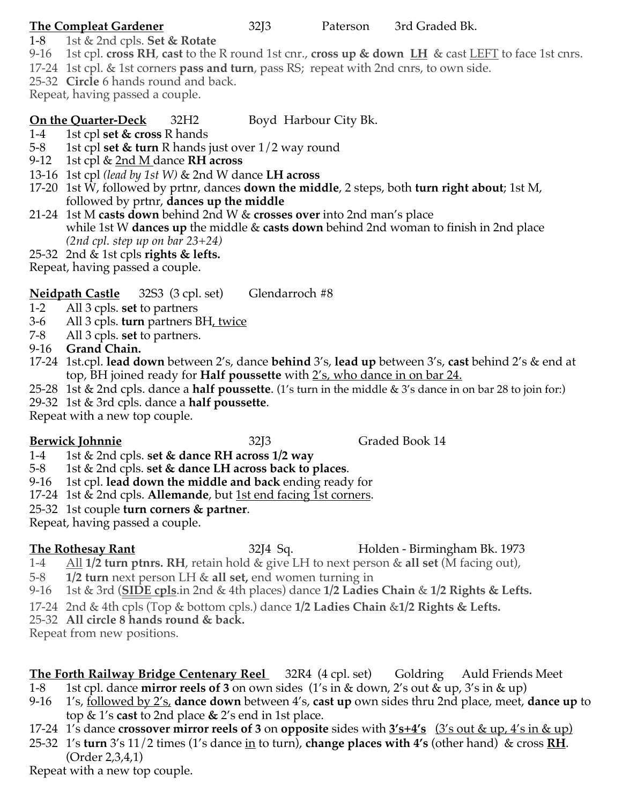- 1-8 1st & 2nd cpls. **Set & Rotate**
- 9-16 1st cpl. **cross RH**, **cast** to the R round 1st cnr., **cross up & down LH** & cast LEFT to face 1st cnrs.
- 17-24 1st cpl. & 1st corners **pass and turn**, pass RS; repeat with 2nd cnrs, to own side.
- 25-32 **Circle** 6 hands round and back.
- Repeat, having passed a couple.

# **On the Quarter-Deck** 32H2 Boyd Harbour City Bk.

- 1-4 1st cpl **set & cross** R hands
- 5-8 1st cpl **set & turn** R hands just over 1/2 way round
- 9-12 1st cpl & 2nd M dance **RH across**
- 13-16 1st cpl *(lead by 1st W)* & 2nd W dance **LH across**
- 17-20 1st W, followed by prtnr, dances **down the middle**, 2 steps, both **turn right about**; 1st M, followed by prtnr, **dances up the middle**
- 21-24 1st M **casts down** behind 2nd W & **crosses over** into 2nd man's place while 1st W **dances up** the middle & **casts down** behind 2nd woman to finish in 2nd place *(2nd cpl. step up on bar 23+24)*
- 25-32 2nd & 1st cpls **rights & lefts.**

Repeat, having passed a couple.

# **Neidpath Castle** 32S3 (3 cpl. set) Glendarroch #8

- 1-2 All 3 cpls. **set** to partners
- 3-6 All 3 cpls. **turn** partners BH, twice
- 7-8 All 3 cpls. **set** to partners.

9-16 **Grand Chain.**

- 17-24 1st.cpl. **lead down** between 2's, dance **behind** 3's, **lead up** between 3's, **cast** behind 2's & end at top, BH joined ready for **Half poussette** with 2's, who dance in on bar 24.
- 25-28 1st & 2nd cpls. dance a **half poussette**. (1's turn in the middle & 3's dance in on bar 28 to join for:)
- 29-32 1st & 3rd cpls. dance a **half poussette**.

Repeat with a new top couple.

# **Berwick Johnnie** 32J3 Graded Book 14

- 1-4 1st & 2nd cpls. **set & dance RH across 1/2 way**
- 5-8 1st & 2nd cpls. **set & dance LH across back to places**.
- 9-16 1st cpl. **lead down the middle and back** ending ready for
- 17-24 1st & 2nd cpls. **Allemande**, but 1st end facing 1st corners.
- 25-32 1st couple **turn corners & partner**.

Repeat, having passed a couple.

**The Rothesay Rant** 32J4 Sq. **Branch Blue Birmingham Bk. 1973** 

- 1-4 All **1/2 turn ptnrs. RH**, retain hold & give LH to next person & **all set** (M facing out),
- 5-8 **1/2 turn** next person LH & **all set,** end women turning in
- 9-16 1st & 3rd (**SIDE cpls**.in 2nd & 4th places) dance **1/2 Ladies Chain** & **1/2 Rights & Lefts.**
- 17-24 2nd & 4th cpls (Top & bottom cpls.) dance **1/2 Ladies Chain** &**1/2 Rights & Lefts.**
- 25-32 **All circle 8 hands round & back.**

Repeat from new positions.

# **The Forth Railway Bridge Centenary Reel** 32R4 (4 cpl. set) Goldring Auld Friends Meet

- 1-8 1st cpl. dance **mirror reels of 3** on own sides (1's in & down, 2's out & up, 3's in & up)
- 9-16 1's, followed by 2's, **dance down** between 4's, **cast up** own sides thru 2nd place, meet, **dance up** to top & 1's **cast** to 2nd place **&** 2's end in 1st place.
- 17-24 1's dance **crossover mirror reels of 3** on **opposite** sides with **3's+4's** (3's out & up, 4's in & up)
- 25-32 1's **turn** 3's 11/2 times (1's dance in to turn), **change places with 4's** (other hand) & cross **RH**. (Order 2,3,4,1)

Repeat with a new top couple.